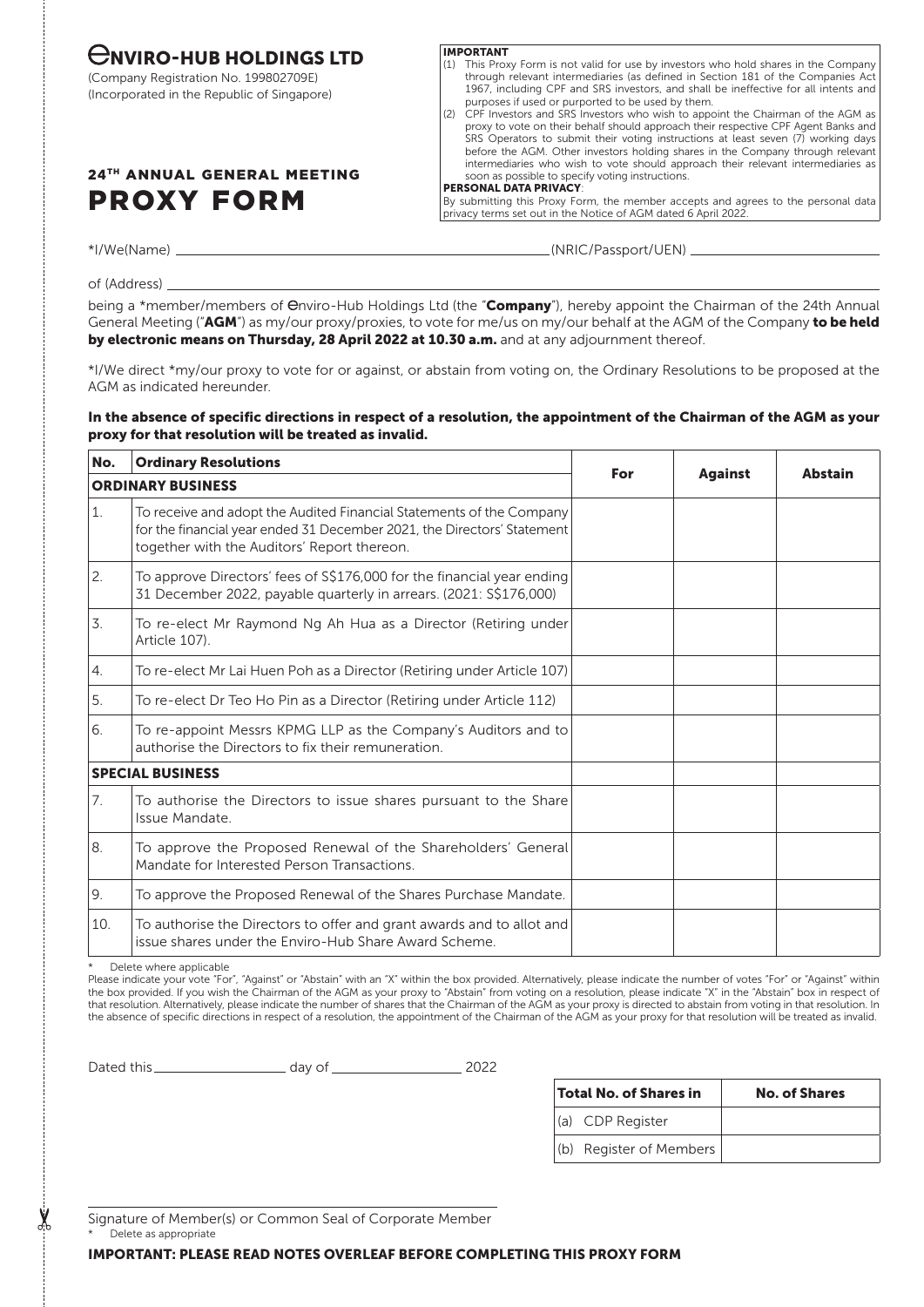# $\bigoplus$ NVIRO-HUB HOLDINGS LTD

(Company Registration No. 199802709E) (Incorporated in the Republic of Singapore)

## 24TH ANNUAL GENERAL MEETING PROXY FORM

#### IMPORTANT

- (1) This Proxy Form is not valid for use by investors who hold shares in the Company through relevant intermediaries (as defined in Section 181 of the Companies Act 1967, including CPF and SRS investors, and shall be ineffective for all intents and purposes if used or purported to be used by them.
- (2) CPF Investors and SRS Investors who wish to appoint the Chairman of the AGM as proxy to vote on their behalf should approach their respective CPF Agent Banks and SRS Operators to submit their voting instructions at least seven (7) working days before the AGM. Other investors holding shares in the Company through relevant intermediaries who wish to vote should approach their relevant intermediaries as soon as possible to specify voting instructions.

### PERSONAL DATA PRIVACY:

By submitting this Proxy Form, the member accepts and agrees to the personal data privacy terms set out in the Notice of AGM dated 6 April 2022.

\*I/We(Name) (NRIC/Passport/UEN)

of (Address)

being a \*member/members of Onviro-Hub Holdings Ltd (the "Company"), hereby appoint the Chairman of the 24th Annual General Meeting ("AGM") as my/our proxy/proxies, to vote for me/us on my/our behalf at the AGM of the Company to be held by electronic means on Thursday, 28 April 2022 at 10.30 a.m. and at any adjournment thereof.

\*I/We direct \*my/our proxy to vote for or against, or abstain from voting on, the Ordinary Resolutions to be proposed at the AGM as indicated hereunder.

## In the absence of specific directions in respect of a resolution, the appointment of the Chairman of the AGM as your proxy for that resolution will be treated as invalid.

| No.                      | <b>Ordinary Resolutions</b>                                                                                                                                                                    |     |                |                |
|--------------------------|------------------------------------------------------------------------------------------------------------------------------------------------------------------------------------------------|-----|----------------|----------------|
| <b>ORDINARY BUSINESS</b> |                                                                                                                                                                                                | For | <b>Against</b> | <b>Abstain</b> |
| 1.                       | To receive and adopt the Audited Financial Statements of the Company<br>for the financial year ended 31 December 2021, the Directors' Statement<br>together with the Auditors' Report thereon. |     |                |                |
| 2.                       | To approve Directors' fees of S\$176,000 for the financial year ending<br>31 December 2022, payable quarterly in arrears. (2021: S\$176,000)                                                   |     |                |                |
| 3.                       | To re-elect Mr Raymond Ng Ah Hua as a Director (Retiring under)<br>Article 107).                                                                                                               |     |                |                |
| 4.                       | To re-elect Mr Lai Huen Poh as a Director (Retiring under Article 107)                                                                                                                         |     |                |                |
| 5.                       | To re-elect Dr Teo Ho Pin as a Director (Retiring under Article 112)                                                                                                                           |     |                |                |
| 6.                       | To re-appoint Messrs KPMG LLP as the Company's Auditors and to<br>authorise the Directors to fix their remuneration.                                                                           |     |                |                |
|                          | <b>SPECIAL BUSINESS</b>                                                                                                                                                                        |     |                |                |
| 7.                       | To authorise the Directors to issue shares pursuant to the Share<br>Issue Mandate.                                                                                                             |     |                |                |
| 8.                       | To approve the Proposed Renewal of the Shareholders' General<br>Mandate for Interested Person Transactions.                                                                                    |     |                |                |
| 9.                       | To approve the Proposed Renewal of the Shares Purchase Mandate.                                                                                                                                |     |                |                |
| 10.                      | To authorise the Directors to offer and grant awards and to allot and<br>issue shares under the Enviro-Hub Share Award Scheme.                                                                 |     |                |                |

Delete where applicable

Please indicate your vote "For", "Against" or "Abstain" with an "X" within the box provided. Alternatively, please indicate the number of votes "For" or "Against" within the box provided. If you wish the Chairman of the AGM as your proxy to "Abstain" from voting on a resolution, please indicate "X" in the "Abstain" box in respect of that resolution. Alternatively, please indicate the number of shares that the Chairman of the AGM as your proxy is directed to abstain from voting in that resolution. In the absence of specific directions in respect of a resolution, the appointment of the Chairman of the AGM as your proxy for that resolution will be treated as invalid.

Dated this 2022

| Total No. of Shares in  | <b>No. of Shares</b> |  |  |
|-------------------------|----------------------|--|--|
| (a) CDP Register        |                      |  |  |
| (b) Register of Members |                      |  |  |

Signature of Member(s) or Common Seal of Corporate Member

Delete as appropriate

 $\sum_{i=1}^{n}$ 

IMPORTANT: PLEASE READ NOTES OVERLEAF BEFORE COMPLETING THIS PROXY FORM